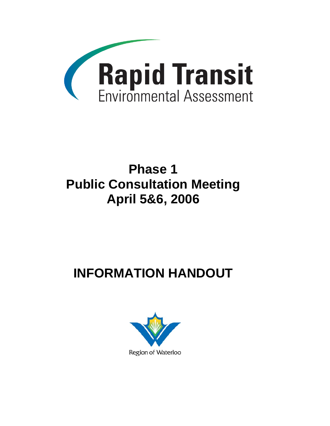

# **Phase 1 Public Consultation Meeting April 5&6, 2006**

# **INFORMATION HANDOUT**

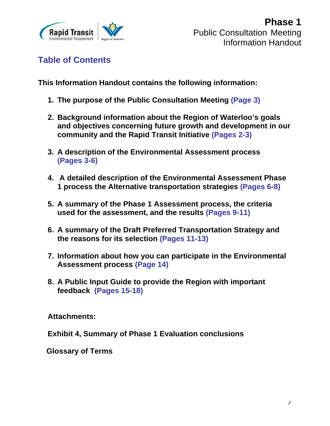

**Table of Contents** 

**This Information Handout contains the following information:** 

- **1. The purpose of the Public Consultation Meeting (Page 3)**
- **2. Background information about the Region of Waterloo's goals and objectives concerning future growth and development in our community and the Rapid Transit Initiative (Pages 2-3)**
- **3. A description of the Environmental Assessment process (Pages 3-6)**
- **4. A detailed description of the Environmental Assessment Phase 1 process the Alternative transportation strategies (Pages 6-8)**
- **5. A summary of the Phase 1 Assessment process, the criteria used for the assessment, and the results (Pages 9-11)**
- **6. A summary of the Draft Preferred Transportation Strategy and the reasons for its selection (Pages 11-13)**
- **7. Information about how you can participate in the Environmental Assessment process (Page 14)**
- **8. A Public Input Guide to provide the Region with important feedback (Pages 15-18)**

**Attachments:** 

**Exhibit 4, Summary of Phase 1 Evaluation conclusions** 

 **Glossary of Terms**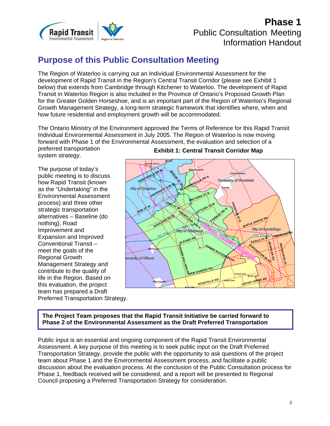

# **Purpose of this Public Consultation Meeting**

The Region of Waterloo is carrying out an Individual Environmental Assessment for the development of Rapid Transit in the Region's Central Transit Corridor (please see Exhibit 1 below) that extends from Cambridge through Kitchener to Waterloo. The development of Rapid Transit in Waterloo Region is also included in the Province of Ontario's Proposed Growth Plan for the Greater Golden Horseshoe, and is an important part of the Region of Waterloo's Regional Growth Management Strategy, a long-term strategic framework that identifies where, when and how future residential and employment growth will be accommodated.

The Ontario Ministry of the Environment approved the Terms of Reference for this Rapid Transit Individual Environmental Assessment in July 2005. The Region of Waterloo is now moving forward with Phase 1 of the Environmental Assessment, the evaluation and selection of a preferred transportation

system strategy.

The purpose of today's public meeting is to discuss how Rapid Transit (known as the "Undertaking" in the Environmental Assessment process) and three other strategic transportation alternatives – Baseline (do nothing), Road Improvement and Expansion and Improved Conventional Transit – meet the goals of the Regional Growth Management Strategy and contribute to the quality of life in the Region. Based on this evaluation, the project team has prepared a Draft Preferred Transportation Strategy.



#### **Exhibit 1: Central Transit Corridor Map**

**The Project Team proposes that the Rapid Transit Initiative be carried forward to Phase 2 of the Environmental Assessment as the Draft Preferred Transportation** 

Public input is an essential and ongoing component of the Rapid Transit Environmental Assessment. A key purpose of this meeting is to seek public input on the Draft Preferred Transportation Strategy, provide the public with the opportunity to ask questions of the project team about Phase 1 and the Environmental Assessment process, and facilitate a public discussion about the evaluation process. At the conclusion of the Public Consultation process for Phase 1, feedback received will be considered, and a report will be presented to Regional Council proposing a Preferred Transportation Strategy for consideration.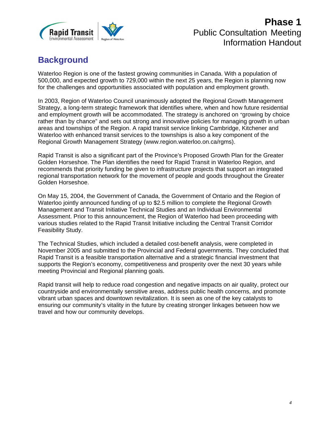

# **Background**

Waterloo Region is one of the fastest growing communities in Canada. With a population of 500,000, and expected growth to 729,000 within the next 25 years, the Region is planning now for the challenges and opportunities associated with population and employment growth.

In 2003, Region of Waterloo Council unanimously adopted the Regional Growth Management Strategy, a long-term strategic framework that identifies where, when and how future residential and employment growth will be accommodated. The strategy is anchored on "growing by choice rather than by chance" and sets out strong and innovative policies for managing growth in urban areas and townships of the Region. A rapid transit service linking Cambridge, Kitchener and Waterloo with enhanced transit services to the townships is also a key component of the Regional Growth Management Strategy (www.region.waterloo.on.ca/rgms).

Rapid Transit is also a significant part of the Province's Proposed Growth Plan for the Greater Golden Horseshoe. The Plan identifies the need for Rapid Transit in Waterloo Region, and recommends that priority funding be given to infrastructure projects that support an integrated regional transportation network for the movement of people and goods throughout the Greater Golden Horseshoe.

On May 15, 2004, the Government of Canada, the Government of Ontario and the Region of Waterloo jointly announced funding of up to \$2.5 million to complete the Regional Growth Management and Transit Initiative Technical Studies and an Individual Environmental Assessment. Prior to this announcement, the Region of Waterloo had been proceeding with various studies related to the Rapid Transit Initiative including the Central Transit Corridor Feasibility Study.

The Technical Studies, which included a detailed cost-benefit analysis, were completed in November 2005 and submitted to the Provincial and Federal governments. They concluded that Rapid Transit is a feasible transportation alternative and a strategic financial investment that supports the Region's economy, competitiveness and prosperity over the next 30 years while meeting Provincial and Regional planning goals.

Rapid transit will help to reduce road congestion and negative impacts on air quality, protect our countryside and environmentally sensitive areas, address public health concerns, and promote vibrant urban spaces and downtown revitalization. It is seen as one of the key catalysts to ensuring our community's vitality in the future by creating stronger linkages between how we travel and how our community develops.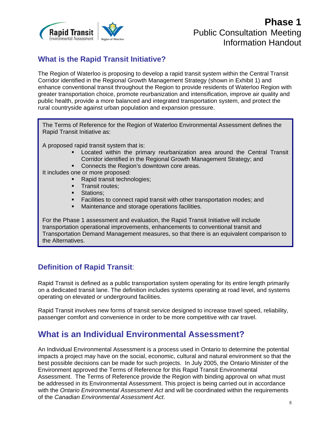

### **What is the Rapid Transit Initiative?**

The Region of Waterloo is proposing to develop a rapid transit system within the Central Transit Corridor identified in the Regional Growth Management Strategy (shown in Exhibit 1) and enhance conventional transit throughout the Region to provide residents of Waterloo Region with greater transportation choice, promote reurbanization and intensification, improve air quality and public health, provide a more balanced and integrated transportation system, and protect the rural countryside against urban population and expansion pressure.

The Terms of Reference for the Region of Waterloo Environmental Assessment defines the Rapid Transit Initiative as:

A proposed rapid transit system that is:

- Located within the primary reurbanization area around the Central Transit Corridor identified in the Regional Growth Management Strategy; and
- **Connects the Region's downtown core areas.**

It includes one or more proposed:

- Rapid transit technologies;
- Transit routes;
- **Stations;**
- Facilities to connect rapid transit with other transportation modes; and
- Maintenance and storage operations facilities.

For the Phase 1 assessment and evaluation, the Rapid Transit Initiative will include transportation operational improvements, enhancements to conventional transit and Transportation Demand Management measures, so that there is an equivalent comparison to the Alternatives.

### **Definition of Rapid Transit**:

Rapid Transit is defined as a public transportation system operating for its entire length primarily on a dedicated transit lane. The definition includes systems operating at road level, and systems operating on elevated or underground facilities.

Rapid Transit involves new forms of transit service designed to increase travel speed, reliability, passenger comfort and convenience in order to be more competitive with car travel.

### **What is an Individual Environmental Assessment?**

An Individual Environmental Assessment is a process used in Ontario to determine the potential impacts a project may have on the social, economic, cultural and natural environment so that the best possible decisions can be made for such projects. In July 2005, the Ontario Minister of the Environment approved the Terms of Reference for this Rapid Transit Environmental Assessment. The Terms of Reference provide the Region with binding approval on what must be addressed in its Environmental Assessment. This project is being carried out in accordance with the *Ontario Environmental Assessment Act* and will be coordinated within the requirements of the *Canadian Environmental Assessment Act*.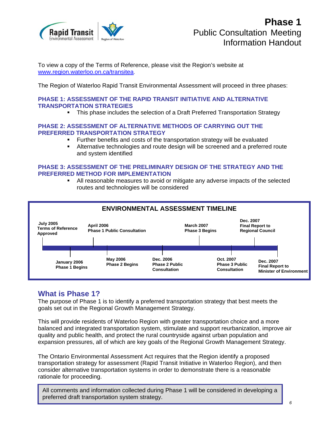

To view a copy of the Terms of Reference, please visit the Region's website at www.region.waterloo.on.ca/transitea.

The Region of Waterloo Rapid Transit Environmental Assessment will proceed in three phases:

#### **PHASE 1: ASSESSMENT OF THE RAPID TRANSIT INITIATIVE AND ALTERNATIVE TRANSPORTATION STRATEGIES**

This phase includes the selection of a Draft Preferred Transportation Strategy

#### **PHASE 2: ASSESSMENT OF ALTERNATIVE METHODS OF CARRYING OUT THE PREFERRED TRANSPORTATION STRATEGY**

- Further benefits and costs of the transportation strategy will be evaluated
- Alternative technologies and route design will be screened and a preferred route and system identified

#### **PHASE 3: ASSESSMENT OF THE PRELIMINARY DESIGN OF THE STRATEGY AND THE PREFERRED METHOD FOR IMPLEMENTATION**

 All reasonable measures to avoid or mitigate any adverse impacts of the selected routes and technologies will be considered



#### **What is Phase 1?**

The purpose of Phase 1 is to identify a preferred transportation strategy that best meets the goals set out in the Regional Growth Management Strategy.

This will provide residents of Waterloo Region with greater transportation choice and a more balanced and integrated transportation system, stimulate and support reurbanization, improve air quality and public health, and protect the rural countryside against urban population and expansion pressures, all of which are key goals of the Regional Growth Management Strategy.

The Ontario Environmental Assessment Act requires that the Region identify a proposed transportation strategy for assessment (Rapid Transit Initiative in Waterloo Region), and then consider alternative transportation systems in order to demonstrate there is a reasonable rationale for proceeding.

All comments and information collected during Phase 1 will be considered in developing a preferred draft transportation system strategy.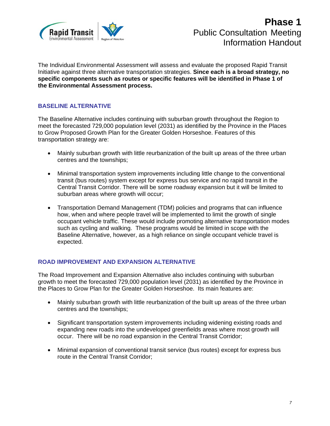

The Individual Environmental Assessment will assess and evaluate the proposed Rapid Transit Initiative against three alternative transportation strategies. **Since each is a broad strategy, no specific components such as routes or specific features will be identified in Phase 1 of the Environmental Assessment process.** 

#### **BASELINE ALTERNATIVE**

The Baseline Alternative includes continuing with suburban growth throughout the Region to meet the forecasted 729,000 population level (2031) as identified by the Province in the Places to Grow Proposed Growth Plan for the Greater Golden Horseshoe. Features of this transportation strategy are:

- Mainly suburban growth with little reurbanization of the built up areas of the three urban centres and the townships;
- Minimal transportation system improvements including little change to the conventional transit (bus routes) system except for express bus service and no rapid transit in the Central Transit Corridor. There will be some roadway expansion but it will be limited to suburban areas where growth will occur;
- Transportation Demand Management (TDM) policies and programs that can influence how, when and where people travel will be implemented to limit the growth of single occupant vehicle traffic. These would include promoting alternative transportation modes such as cycling and walking. These programs would be limited in scope with the Baseline Alternative, however, as a high reliance on single occupant vehicle travel is expected.

#### **ROAD IMPROVEMENT AND EXPANSION ALTERNATIVE**

The Road Improvement and Expansion Alternative also includes continuing with suburban growth to meet the forecasted 729,000 population level (2031) as identified by the Province in the Places to Grow Plan for the Greater Golden Horseshoe. Its main features are:

- Mainly suburban growth with little reurbanization of the built up areas of the three urban centres and the townships;
- Significant transportation system improvements including widening existing roads and expanding new roads into the undeveloped greenfields areas where most growth will occur. There will be no road expansion in the Central Transit Corridor;
- Minimal expansion of conventional transit service (bus routes) except for express bus route in the Central Transit Corridor;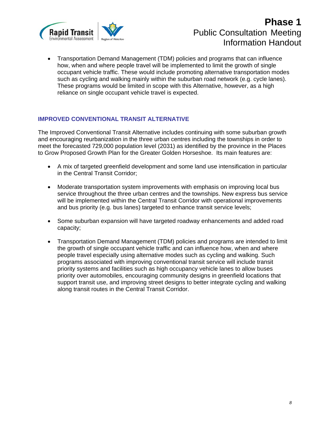

• Transportation Demand Management (TDM) policies and programs that can influence how, when and where people travel will be implemented to limit the growth of single occupant vehicle traffic. These would include promoting alternative transportation modes such as cycling and walking mainly within the suburban road network (e.g. cycle lanes). These programs would be limited in scope with this Alternative, however, as a high reliance on single occupant vehicle travel is expected.

#### **IMPROVED CONVENTIONAL TRANSIT ALTERNATIVE**

The Improved Conventional Transit Alternative includes continuing with some suburban growth and encouraging reurbanization in the three urban centres including the townships in order to meet the forecasted 729,000 population level (2031) as identified by the province in the Places to Grow Proposed Growth Plan for the Greater Golden Horseshoe. Its main features are:

- A mix of targeted greenfield development and some land use intensification in particular in the Central Transit Corridor;
- Moderate transportation system improvements with emphasis on improving local bus service throughout the three urban centres and the townships. New express bus service will be implemented within the Central Transit Corridor with operational improvements and bus priority (e.g. bus lanes) targeted to enhance transit service levels;
- Some suburban expansion will have targeted roadway enhancements and added road capacity;
- Transportation Demand Management (TDM) policies and programs are intended to limit the growth of single occupant vehicle traffic and can influence how, when and where people travel especially using alternative modes such as cycling and walking. Such programs associated with improving conventional transit service will include transit priority systems and facilities such as high occupancy vehicle lanes to allow buses priority over automobiles, encouraging community designs in greenfield locations that support transit use, and improving street designs to better integrate cycling and walking along transit routes in the Central Transit Corridor.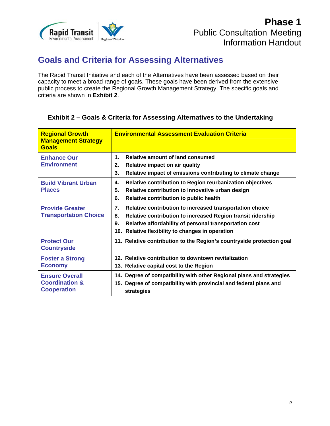

### **Goals and Criteria for Assessing Alternatives**

The Rapid Transit Initiative and each of the Alternatives have been assessed based on their capacity to meet a broad range of goals. These goals have been derived from the extensive public process to create the Regional Growth Management Strategy. The specific goals and criteria are shown in **Exhibit 2**.

#### **Exhibit 2 – Goals & Criteria for Assessing Alternatives to the Undertaking**

| <b>Regional Growth</b><br><b>Management Strategy</b><br><b>Goals</b>     | <b>Environmental Assessment Evaluation Criteria</b>                                                                                                                                                                                                     |
|--------------------------------------------------------------------------|---------------------------------------------------------------------------------------------------------------------------------------------------------------------------------------------------------------------------------------------------------|
| <b>Enhance Our</b><br><b>Environment</b>                                 | <b>Relative amount of land consumed</b><br>$\mathbf{1}$<br>Relative impact on air quality<br>2.<br>Relative impact of emissions contributing to climate change<br>3.                                                                                    |
| <b>Build Vibrant Urban</b><br><b>Places</b>                              | Relative contribution to Region reurbanization objectives<br>4.<br>5.<br>Relative contribution to innovative urban design<br>Relative contribution to public health<br>6.                                                                               |
| <b>Provide Greater</b><br><b>Transportation Choice</b>                   | Relative contribution to increased transportation choice<br>7.<br>Relative contribution to increased Region transit ridership<br>8.<br>Relative affordability of personal transportation cost<br>9.<br>10. Relative flexibility to changes in operation |
| <b>Protect Our</b><br><b>Countryside</b>                                 | 11. Relative contribution to the Region's countryside protection goal                                                                                                                                                                                   |
| <b>Foster a Strong</b><br><b>Economy</b>                                 | 12. Relative contribution to downtown revitalization<br>13. Relative capital cost to the Region                                                                                                                                                         |
| <b>Ensure Overall</b><br><b>Coordination &amp;</b><br><b>Cooperation</b> | 14. Degree of compatibility with other Regional plans and strategies<br>15. Degree of compatibility with provincial and federal plans and<br>strategies                                                                                                 |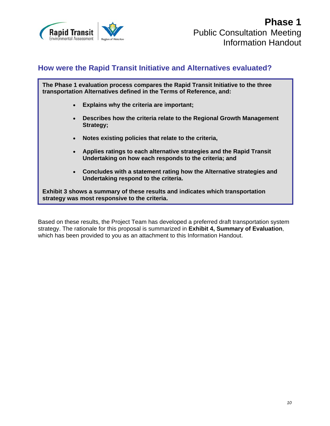

#### **How were the Rapid Transit Initiative and Alternatives evaluated?**

**The Phase 1 evaluation process compares the Rapid Transit Initiative to the three transportation Alternatives defined in the Terms of Reference, and:** 

- **Explains why the criteria are important;**
- **Describes how the criteria relate to the Regional Growth Management Strategy;**
- **Notes existing policies that relate to the criteria,**
- **Applies ratings to each alternative strategies and the Rapid Transit Undertaking on how each responds to the criteria; and**
- **Concludes with a statement rating how the Alternative strategies and Undertaking respond to the criteria.**

**Exhibit 3 shows a summary of these results and indicates which transportation strategy was most responsive to the criteria.** 

Based on these results, the Project Team has developed a preferred draft transportation system strategy. The rationale for this proposal is summarized in **Exhibit 4, Summary of Evaluation**, which has been provided to you as an attachment to this Information Handout.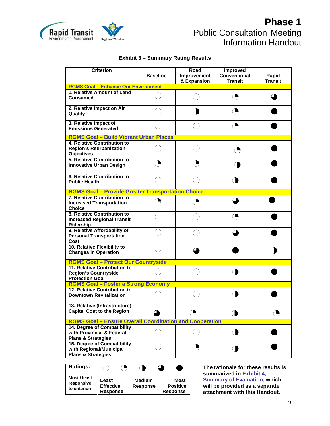

#### **Exhibit 3 – Summary Rating Results**

| Transit<br>& Expansion<br><b>RGMS Goal - Enhance Our Environment</b><br>1. Relative Amount of Land<br>O<br><b>Consumed</b><br>2. Relative Impact on Air<br>Quality<br>3. Relative Impact of<br>O<br><b>Emissions Generated</b><br><b>RGMS Goal - Build Vibrant Urban Places</b> | <b>Transit</b> |  |  |  |  |  |  |  |  |
|---------------------------------------------------------------------------------------------------------------------------------------------------------------------------------------------------------------------------------------------------------------------------------|----------------|--|--|--|--|--|--|--|--|
|                                                                                                                                                                                                                                                                                 |                |  |  |  |  |  |  |  |  |
|                                                                                                                                                                                                                                                                                 |                |  |  |  |  |  |  |  |  |
|                                                                                                                                                                                                                                                                                 |                |  |  |  |  |  |  |  |  |
|                                                                                                                                                                                                                                                                                 |                |  |  |  |  |  |  |  |  |
|                                                                                                                                                                                                                                                                                 |                |  |  |  |  |  |  |  |  |
| 4. Relative Contribution to<br><b>Region's Reurbanization</b><br>◑<br><b>Objectives</b>                                                                                                                                                                                         |                |  |  |  |  |  |  |  |  |
| 5. Relative Contribution to<br><b>Innovative Urban Design</b>                                                                                                                                                                                                                   |                |  |  |  |  |  |  |  |  |
| <b>6. Relative Contribution to</b><br><b>Public Health</b>                                                                                                                                                                                                                      |                |  |  |  |  |  |  |  |  |
| <b>RGMS Goal - Provide Greater Transportation Choice</b>                                                                                                                                                                                                                        |                |  |  |  |  |  |  |  |  |
| 7. Relative Contribution to<br>Ъ<br><b>Increased Transportation</b><br><b>Choice</b>                                                                                                                                                                                            |                |  |  |  |  |  |  |  |  |
| 8. Relative Contribution to<br>⊆<br><b>Increased Regional Transit</b><br>Ridership                                                                                                                                                                                              |                |  |  |  |  |  |  |  |  |
| 9. Relative Affordability of<br><b>Personal Transportation</b><br>Cost                                                                                                                                                                                                          |                |  |  |  |  |  |  |  |  |
| 10. Relative Flexibility to<br><b>Changes in Operation</b>                                                                                                                                                                                                                      |                |  |  |  |  |  |  |  |  |
| <b>RGMS Goal - Protect Our Countryside</b>                                                                                                                                                                                                                                      |                |  |  |  |  |  |  |  |  |
| 11. Relative Contribution to<br><b>Region's Countryside</b><br><b>Protection Goal</b>                                                                                                                                                                                           |                |  |  |  |  |  |  |  |  |
| <b>RGMS Goal - Foster a Strong Economy</b>                                                                                                                                                                                                                                      |                |  |  |  |  |  |  |  |  |
| 12. Relative Contribution to<br><b>Downtown Revitalization</b>                                                                                                                                                                                                                  |                |  |  |  |  |  |  |  |  |
| 13. Relative (Infrastructure)<br><b>Capital Cost to the Region</b><br>◑                                                                                                                                                                                                         | O,             |  |  |  |  |  |  |  |  |
| <b>RGMS Goal - Ensure Overall Coordination and Cooperation</b>                                                                                                                                                                                                                  |                |  |  |  |  |  |  |  |  |
| 14. Degree of Compatibility<br>( <b>)</b><br>with Provincial & Federal<br><b>Plans &amp; Strategies</b>                                                                                                                                                                         |                |  |  |  |  |  |  |  |  |
| 15. Degree of Compatibility<br>( )<br>with Regional/Municipal<br><b>Plans &amp; Strategies</b>                                                                                                                                                                                  |                |  |  |  |  |  |  |  |  |

| <b>Ratings:</b>                            |                                              |                                  |                                                   |
|--------------------------------------------|----------------------------------------------|----------------------------------|---------------------------------------------------|
| Most / least<br>responsive<br>to criterion | Least<br><b>Effective</b><br><b>Response</b> | <b>Medium</b><br><b>Response</b> | <b>Most</b><br><b>Positive</b><br><b>Response</b> |

**The rationale for these results is summarized in Exhibit 4, Summary of Evaluation, which will be provided as a separate attachment with this Handout.**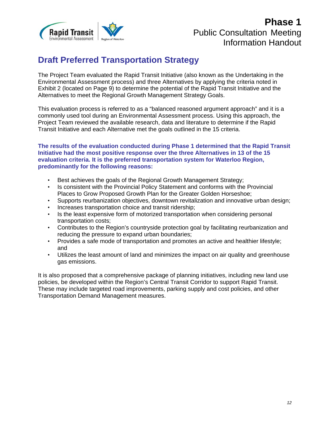

### **Draft Preferred Transportation Strategy**

The Project Team evaluated the Rapid Transit Initiative (also known as the Undertaking in the Environmental Assessment process) and three Alternatives by applying the criteria noted in Exhibit 2 (located on Page 9) to determine the potential of the Rapid Transit Initiative and the Alternatives to meet the Regional Growth Management Strategy Goals.

This evaluation process is referred to as a "balanced reasoned argument approach" and it is a commonly used tool during an Environmental Assessment process. Using this approach, the Project Team reviewed the available research, data and literature to determine if the Rapid Transit Initiative and each Alternative met the goals outlined in the 15 criteria.

#### **The results of the evaluation conducted during Phase 1 determined that the Rapid Transit Initiative had the most positive response over the three Alternatives in 13 of the 15 evaluation criteria. It is the preferred transportation system for Waterloo Region, predominantly for the following reasons:**

- Best achieves the goals of the Regional Growth Management Strategy;
- Is consistent with the Provincial Policy Statement and conforms with the Provincial Places to Grow Proposed Growth Plan for the Greater Golden Horseshoe;
- Supports reurbanization objectives, downtown revitalization and innovative urban design;
- Increases transportation choice and transit ridership;
- Is the least expensive form of motorized transportation when considering personal transportation costs;
- Contributes to the Region's countryside protection goal by facilitating reurbanization and reducing the pressure to expand urban boundaries;
- Provides a safe mode of transportation and promotes an active and healthier lifestyle; and
- Utilizes the least amount of land and minimizes the impact on air quality and greenhouse gas emissions.

It is also proposed that a comprehensive package of planning initiatives, including new land use policies, be developed within the Region's Central Transit Corridor to support Rapid Transit. These may include targeted road improvements, parking supply and cost policies, and other Transportation Demand Management measures.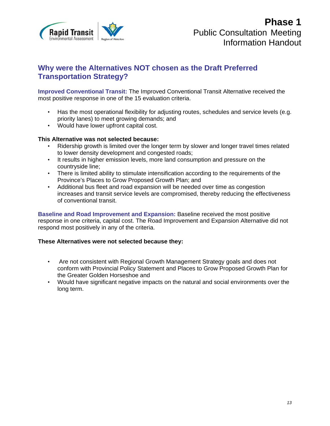

#### **Why were the Alternatives NOT chosen as the Draft Preferred Transportation Strategy?**

**Improved Conventional Transit:** The Improved Conventional Transit Alternative received the most positive response in one of the 15 evaluation criteria.

- Has the most operational flexibility for adjusting routes, schedules and service levels (e.g. priority lanes) to meet growing demands; and
- Would have lower upfront capital cost.

#### **This Alternative was not selected because:**

- Ridership growth is limited over the longer term by slower and longer travel times related to lower density development and congested roads;
- It results in higher emission levels, more land consumption and pressure on the countryside line;
- There is limited ability to stimulate intensification according to the requirements of the Province's Places to Grow Proposed Growth Plan; and
- Additional bus fleet and road expansion will be needed over time as congestion increases and transit service levels are compromised, thereby reducing the effectiveness of conventional transit.

**Baseline and Road Improvement and Expansion:** Baseline received the most positive response in one criteria, capital cost. The Road Improvement and Expansion Alternative did not respond most positively in any of the criteria.

#### **These Alternatives were not selected because they:**

- Are not consistent with Regional Growth Management Strategy goals and does not conform with Provincial Policy Statement and Places to Grow Proposed Growth Plan for the Greater Golden Horseshoe and
- Would have significant negative impacts on the natural and social environments over the long term.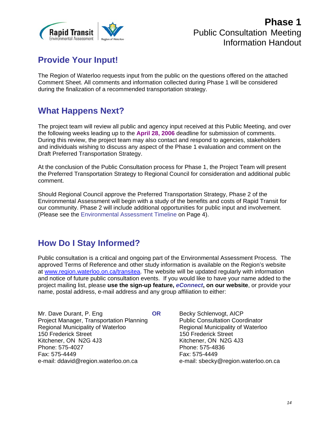

# **Provide Your Input!**

The Region of Waterloo requests input from the public on the questions offered on the attached Comment Sheet. All comments and information collected during Phase 1 will be considered during the finalization of a recommended transportation strategy.

### **What Happens Next?**

The project team will review all public and agency input received at this Public Meeting, and over the following weeks leading up to the **April 28, 2006** deadline for submission of comments. During this review, the project team may also contact and respond to agencies, stakeholders and individuals wishing to discuss any aspect of the Phase 1 evaluation and comment on the Draft Preferred Transportation Strategy.

At the conclusion of the Public Consultation process for Phase 1, the Project Team will present the Preferred Transportation Strategy to Regional Council for consideration and additional public comment.

Should Regional Council approve the Preferred Transportation Strategy, Phase 2 of the Environmental Assessment will begin with a study of the benefits and costs of Rapid Transit for our community. Phase 2 will include additional opportunities for public input and involvement. (Please see the Environmental Assessment Timeline on Page 4).

### **How Do I Stay Informed?**

Public consultation is a critical and ongoing part of the Environmental Assessment Process. The approved Terms of Reference and other study information is available on the Region's website at www.region.waterloo.on.ca/transitea. The website will be updated regularly with information and notice of future public consultation events. If you would like to have your name added to the project mailing list, please **use the sign-up feature,** *eConnect***, on our website**, or provide your name, postal address, e-mail address and any group affiliation to either:

Mr. Dave Durant, P. Eng **OR** Project Manager, Transportation Planning Regional Municipality of Waterloo 150 Frederick Street Kitchener, ON N2G 4J3 Phone: 575-4027 Fax: 575-4449 e-mail: ddavid@region.waterloo.on.ca

 Becky Schlenvogt, AICP Public Consultation Coordinator Regional Municipality of Waterloo 150 Frederick Street Kitchener, ON N2G 4J3 Phone: 575-4836 Fax: 575-4449 e-mail: sbecky@region.waterloo.on.ca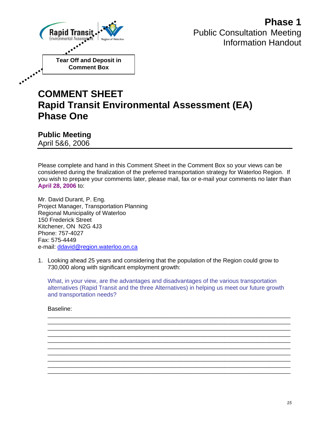

# **COMMENT SHEET Rapid Transit Environmental Assessment (EA) Phase One**

**Public Meeting**  April 5&6, 2006

Please complete and hand in this Comment Sheet in the Comment Box so your views can be considered during the finalization of the preferred transportation strategy for Waterloo Region. If you wish to prepare your comments later, please mail, fax or e-mail your comments no later than **April 28, 2006** to:

Mr. David Durant, P. Eng. Project Manager, Transportation Planning Regional Municipality of Waterloo 150 Frederick Street Kitchener, ON N2G 4J3 Phone: 757-4027 Fax: 575-4449 e-mail: ddavid@region.waterloo.on.ca

1. Looking ahead 25 years and considering that the population of the Region could grow to 730,000 along with significant employment growth:

What, in your view, are the advantages and disadvantages of the various transportation alternatives (Rapid Transit and the three Alternatives) in helping us meet our future growth and transportation needs?

\_\_\_\_\_\_\_\_\_\_\_\_\_\_\_\_\_\_\_\_\_\_\_\_\_\_\_\_\_\_\_\_\_\_\_\_\_\_\_\_\_\_\_\_\_\_\_\_\_\_\_\_\_\_\_\_\_\_\_\_\_\_\_\_\_\_\_\_\_\_\_\_\_\_\_\_\_\_\_\_\_ \_\_\_\_\_\_\_\_\_\_\_\_\_\_\_\_\_\_\_\_\_\_\_\_\_\_\_\_\_\_\_\_\_\_\_\_\_\_\_\_\_\_\_\_\_\_\_\_\_\_\_\_\_\_\_\_\_\_\_\_\_\_\_\_\_\_\_\_\_\_\_\_\_\_\_\_\_\_\_\_\_ \_\_\_\_\_\_\_\_\_\_\_\_\_\_\_\_\_\_\_\_\_\_\_\_\_\_\_\_\_\_\_\_\_\_\_\_\_\_\_\_\_\_\_\_\_\_\_\_\_\_\_\_\_\_\_\_\_\_\_\_\_\_\_\_\_\_\_\_\_\_\_\_\_\_\_\_\_\_\_\_\_ \_\_\_\_\_\_\_\_\_\_\_\_\_\_\_\_\_\_\_\_\_\_\_\_\_\_\_\_\_\_\_\_\_\_\_\_\_\_\_\_\_\_\_\_\_\_\_\_\_\_\_\_\_\_\_\_\_\_\_\_\_\_\_\_\_\_\_\_\_\_\_\_\_\_\_\_\_\_\_\_\_ \_\_\_\_\_\_\_\_\_\_\_\_\_\_\_\_\_\_\_\_\_\_\_\_\_\_\_\_\_\_\_\_\_\_\_\_\_\_\_\_\_\_\_\_\_\_\_\_\_\_\_\_\_\_\_\_\_\_\_\_\_\_\_\_\_\_\_\_\_\_\_\_\_\_\_\_\_\_\_\_\_ \_\_\_\_\_\_\_\_\_\_\_\_\_\_\_\_\_\_\_\_\_\_\_\_\_\_\_\_\_\_\_\_\_\_\_\_\_\_\_\_\_\_\_\_\_\_\_\_\_\_\_\_\_\_\_\_\_\_\_\_\_\_\_\_\_\_\_\_\_\_\_\_\_\_\_\_\_\_\_\_\_ \_\_\_\_\_\_\_\_\_\_\_\_\_\_\_\_\_\_\_\_\_\_\_\_\_\_\_\_\_\_\_\_\_\_\_\_\_\_\_\_\_\_\_\_\_\_\_\_\_\_\_\_\_\_\_\_\_\_\_\_\_\_\_\_\_\_\_\_\_\_\_\_\_\_\_\_\_\_\_\_\_ \_\_\_\_\_\_\_\_\_\_\_\_\_\_\_\_\_\_\_\_\_\_\_\_\_\_\_\_\_\_\_\_\_\_\_\_\_\_\_\_\_\_\_\_\_\_\_\_\_\_\_\_\_\_\_\_\_\_\_\_\_\_\_\_\_\_\_\_\_\_\_\_\_\_\_\_\_\_\_\_\_ \_\_\_\_\_\_\_\_\_\_\_\_\_\_\_\_\_\_\_\_\_\_\_\_\_\_\_\_\_\_\_\_\_\_\_\_\_\_\_\_\_\_\_\_\_\_\_\_\_\_\_\_\_\_\_\_\_\_\_\_\_\_\_\_\_\_\_\_\_\_\_\_\_\_\_\_\_\_\_\_\_ \_\_\_\_\_\_\_\_\_\_\_\_\_\_\_\_\_\_\_\_\_\_\_\_\_\_\_\_\_\_\_\_\_\_\_\_\_\_\_\_\_\_\_\_\_\_\_\_\_\_\_\_\_\_\_\_\_\_\_\_\_\_\_\_\_\_\_\_\_\_\_\_\_\_\_\_\_\_\_\_\_

Baseline: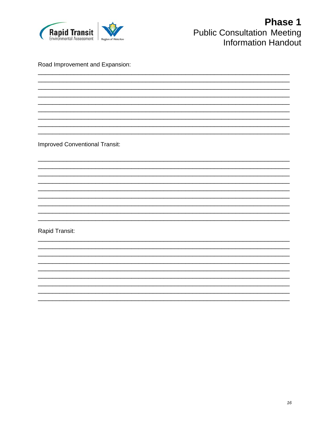

Road Improvement and Expansion:

**Improved Conventional Transit:** 

Rapid Transit: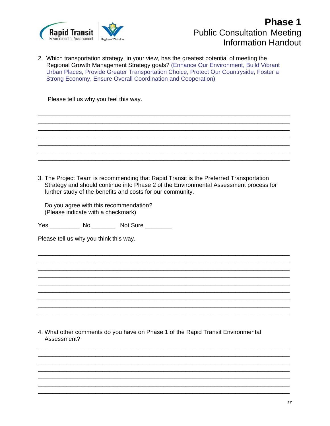

2. Which transportation strategy, in your view, has the greatest potential of meeting the Regional Growth Management Strategy goals? (Enhance Our Environment, Build Vibrant Urban Places, Provide Greater Transportation Choice, Protect Our Countryside, Foster a Strong Economy, Ensure Overall Coordination and Cooperation)

\_\_\_\_\_\_\_\_\_\_\_\_\_\_\_\_\_\_\_\_\_\_\_\_\_\_\_\_\_\_\_\_\_\_\_\_\_\_\_\_\_\_\_\_\_\_\_\_\_\_\_\_\_\_\_\_\_\_\_\_\_\_\_\_\_\_\_\_\_\_ \_\_\_\_\_\_\_\_\_\_\_\_\_\_\_\_\_\_\_\_\_\_\_\_\_\_\_\_\_\_\_\_\_\_\_\_\_\_\_\_\_\_\_\_\_\_\_\_\_\_\_\_\_\_\_\_\_\_\_\_\_\_\_\_\_\_\_\_\_\_ \_\_\_\_\_\_\_\_\_\_\_\_\_\_\_\_\_\_\_\_\_\_\_\_\_\_\_\_\_\_\_\_\_\_\_\_\_\_\_\_\_\_\_\_\_\_\_\_\_\_\_\_\_\_\_\_\_\_\_\_\_\_\_\_\_\_\_\_\_\_ \_\_\_\_\_\_\_\_\_\_\_\_\_\_\_\_\_\_\_\_\_\_\_\_\_\_\_\_\_\_\_\_\_\_\_\_\_\_\_\_\_\_\_\_\_\_\_\_\_\_\_\_\_\_\_\_\_\_\_\_\_\_\_\_\_\_\_\_\_\_ \_\_\_\_\_\_\_\_\_\_\_\_\_\_\_\_\_\_\_\_\_\_\_\_\_\_\_\_\_\_\_\_\_\_\_\_\_\_\_\_\_\_\_\_\_\_\_\_\_\_\_\_\_\_\_\_\_\_\_\_\_\_\_\_\_\_\_\_\_\_ \_\_\_\_\_\_\_\_\_\_\_\_\_\_\_\_\_\_\_\_\_\_\_\_\_\_\_\_\_\_\_\_\_\_\_\_\_\_\_\_\_\_\_\_\_\_\_\_\_\_\_\_\_\_\_\_\_\_\_\_\_\_\_\_\_\_\_\_\_\_ \_\_\_\_\_\_\_\_\_\_\_\_\_\_\_\_\_\_\_\_\_\_\_\_\_\_\_\_\_\_\_\_\_\_\_\_\_\_\_\_\_\_\_\_\_\_\_\_\_\_\_\_\_\_\_\_\_\_\_\_\_\_\_\_\_\_\_\_\_\_

Please tell us why you feel this way.

3. The Project Team is recommending that Rapid Transit is the Preferred Transportation Strategy and should continue into Phase 2 of the Environmental Assessment process for further study of the benefits and costs for our community.

\_\_\_\_\_\_\_\_\_\_\_\_\_\_\_\_\_\_\_\_\_\_\_\_\_\_\_\_\_\_\_\_\_\_\_\_\_\_\_\_\_\_\_\_\_\_\_\_\_\_\_\_\_\_\_\_\_\_\_\_\_\_\_\_\_\_\_\_\_\_ \_\_\_\_\_\_\_\_\_\_\_\_\_\_\_\_\_\_\_\_\_\_\_\_\_\_\_\_\_\_\_\_\_\_\_\_\_\_\_\_\_\_\_\_\_\_\_\_\_\_\_\_\_\_\_\_\_\_\_\_\_\_\_\_\_\_\_\_\_\_ \_\_\_\_\_\_\_\_\_\_\_\_\_\_\_\_\_\_\_\_\_\_\_\_\_\_\_\_\_\_\_\_\_\_\_\_\_\_\_\_\_\_\_\_\_\_\_\_\_\_\_\_\_\_\_\_\_\_\_\_\_\_\_\_\_\_\_\_\_\_ \_\_\_\_\_\_\_\_\_\_\_\_\_\_\_\_\_\_\_\_\_\_\_\_\_\_\_\_\_\_\_\_\_\_\_\_\_\_\_\_\_\_\_\_\_\_\_\_\_\_\_\_\_\_\_\_\_\_\_\_\_\_\_\_\_\_\_\_\_\_ \_\_\_\_\_\_\_\_\_\_\_\_\_\_\_\_\_\_\_\_\_\_\_\_\_\_\_\_\_\_\_\_\_\_\_\_\_\_\_\_\_\_\_\_\_\_\_\_\_\_\_\_\_\_\_\_\_\_\_\_\_\_\_\_\_\_\_\_\_\_ \_\_\_\_\_\_\_\_\_\_\_\_\_\_\_\_\_\_\_\_\_\_\_\_\_\_\_\_\_\_\_\_\_\_\_\_\_\_\_\_\_\_\_\_\_\_\_\_\_\_\_\_\_\_\_\_\_\_\_\_\_\_\_\_\_\_\_\_\_\_ \_\_\_\_\_\_\_\_\_\_\_\_\_\_\_\_\_\_\_\_\_\_\_\_\_\_\_\_\_\_\_\_\_\_\_\_\_\_\_\_\_\_\_\_\_\_\_\_\_\_\_\_\_\_\_\_\_\_\_\_\_\_\_\_\_\_\_\_\_\_ \_\_\_\_\_\_\_\_\_\_\_\_\_\_\_\_\_\_\_\_\_\_\_\_\_\_\_\_\_\_\_\_\_\_\_\_\_\_\_\_\_\_\_\_\_\_\_\_\_\_\_\_\_\_\_\_\_\_\_\_\_\_\_\_\_\_\_\_\_\_ \_\_\_\_\_\_\_\_\_\_\_\_\_\_\_\_\_\_\_\_\_\_\_\_\_\_\_\_\_\_\_\_\_\_\_\_\_\_\_\_\_\_\_\_\_\_\_\_\_\_\_\_\_\_\_\_\_\_\_\_\_\_\_\_\_\_\_\_\_\_

 Do you agree with this recommendation? (Please indicate with a checkmark)

Yes No \_\_\_\_\_\_\_\_ Not Sure \_\_\_\_\_\_\_\_

Please tell us why you think this way.

4. What other comments do you have on Phase 1 of the Rapid Transit Environmental Assessment?

\_\_\_\_\_\_\_\_\_\_\_\_\_\_\_\_\_\_\_\_\_\_\_\_\_\_\_\_\_\_\_\_\_\_\_\_\_\_\_\_\_\_\_\_\_\_\_\_\_\_\_\_\_\_\_\_\_\_\_\_\_\_\_\_\_\_\_\_\_\_ \_\_\_\_\_\_\_\_\_\_\_\_\_\_\_\_\_\_\_\_\_\_\_\_\_\_\_\_\_\_\_\_\_\_\_\_\_\_\_\_\_\_\_\_\_\_\_\_\_\_\_\_\_\_\_\_\_\_\_\_\_\_\_\_\_\_\_\_\_\_ \_\_\_\_\_\_\_\_\_\_\_\_\_\_\_\_\_\_\_\_\_\_\_\_\_\_\_\_\_\_\_\_\_\_\_\_\_\_\_\_\_\_\_\_\_\_\_\_\_\_\_\_\_\_\_\_\_\_\_\_\_\_\_\_\_\_\_\_\_\_ \_\_\_\_\_\_\_\_\_\_\_\_\_\_\_\_\_\_\_\_\_\_\_\_\_\_\_\_\_\_\_\_\_\_\_\_\_\_\_\_\_\_\_\_\_\_\_\_\_\_\_\_\_\_\_\_\_\_\_\_\_\_\_\_\_\_\_\_\_\_ \_\_\_\_\_\_\_\_\_\_\_\_\_\_\_\_\_\_\_\_\_\_\_\_\_\_\_\_\_\_\_\_\_\_\_\_\_\_\_\_\_\_\_\_\_\_\_\_\_\_\_\_\_\_\_\_\_\_\_\_\_\_\_\_\_\_\_\_\_\_ \_\_\_\_\_\_\_\_\_\_\_\_\_\_\_\_\_\_\_\_\_\_\_\_\_\_\_\_\_\_\_\_\_\_\_\_\_\_\_\_\_\_\_\_\_\_\_\_\_\_\_\_\_\_\_\_\_\_\_\_\_\_\_\_\_\_\_\_\_\_ \_\_\_\_\_\_\_\_\_\_\_\_\_\_\_\_\_\_\_\_\_\_\_\_\_\_\_\_\_\_\_\_\_\_\_\_\_\_\_\_\_\_\_\_\_\_\_\_\_\_\_\_\_\_\_\_\_\_\_\_\_\_\_\_\_\_\_\_\_\_